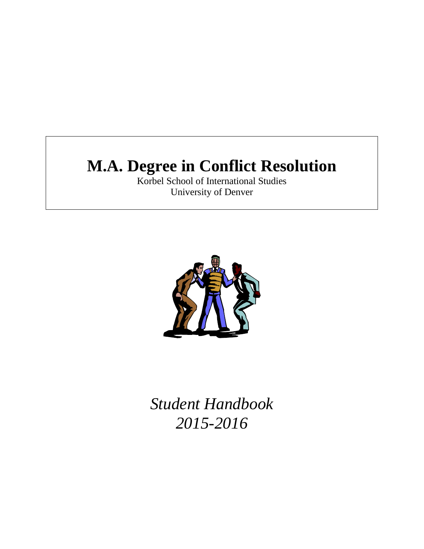# **M.A. Degree in Conflict Resolution**

Korbel School of International Studies University of Denver



*Student Handbook 2015-2016*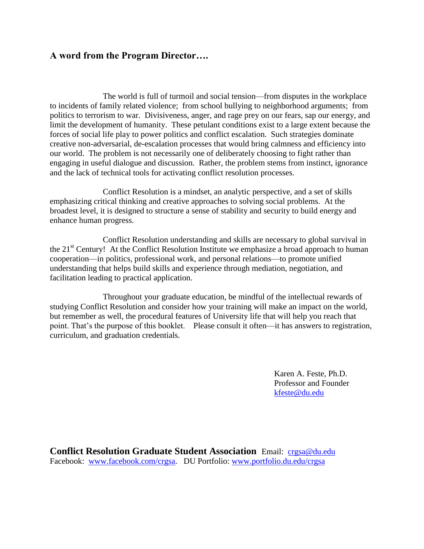## **A word from the Program Director….**

The world is full of turmoil and social tension—from disputes in the workplace to incidents of family related violence; from school bullying to neighborhood arguments; from politics to terrorism to war. Divisiveness, anger, and rage prey on our fears, sap our energy, and limit the development of humanity. These petulant conditions exist to a large extent because the forces of social life play to power politics and conflict escalation. Such strategies dominate creative non-adversarial, de-escalation processes that would bring calmness and efficiency into our world. The problem is not necessarily one of deliberately choosing to fight rather than engaging in useful dialogue and discussion. Rather, the problem stems from instinct, ignorance and the lack of technical tools for activating conflict resolution processes.

 Conflict Resolution is a mindset, an analytic perspective, and a set of skills emphasizing critical thinking and creative approaches to solving social problems. At the broadest level, it is designed to structure a sense of stability and security to build energy and enhance human progress.

 Conflict Resolution understanding and skills are necessary to global survival in the  $21<sup>st</sup>$  Century! At the Conflict Resolution Institute we emphasize a broad approach to human cooperation—in politics, professional work, and personal relations—to promote unified understanding that helps build skills and experience through mediation, negotiation, and facilitation leading to practical application.

 Throughout your graduate education, be mindful of the intellectual rewards of studying Conflict Resolution and consider how your training will make an impact on the world, but remember as well, the procedural features of University life that will help you reach that point. That's the purpose of this booklet. Please consult it often—it has answers to registration, curriculum, and graduation credentials.

> Karen A. Feste, Ph.D. Professor and Founder [kfeste@du.edu](mailto:kfeste@du.edu)

**Conflict Resolution Graduate Student Association** Email: [crgsa@du.edu](mailto:crgsa@du.edu)  Facebook: [www.facebook.com/crgsa.](http://www.facebook.com/crgsa) DU Portfolio: [www.portfolio.du.edu/crgsa](http://www.portfolio.du.edu/crgsa)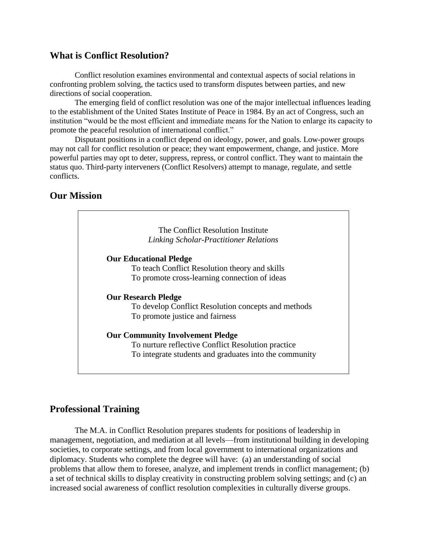## **What is Conflict Resolution?**

Conflict resolution examines environmental and contextual aspects of social relations in confronting problem solving, the tactics used to transform disputes between parties, and new directions of social cooperation.

The emerging field of conflict resolution was one of the major intellectual influences leading to the establishment of the United States Institute of Peace in 1984. By an act of Congress, such an institution "would be the most efficient and immediate means for the Nation to enlarge its capacity to promote the peaceful resolution of international conflict."

Disputant positions in a conflict depend on ideology, power, and goals. Low-power groups may not call for conflict resolution or peace; they want empowerment, change, and justice. More powerful parties may opt to deter, suppress, repress, or control conflict. They want to maintain the status quo. Third-party interveners (Conflict Resolvers) attempt to manage, regulate, and settle conflicts.

## **Our Mission**



## **Professional Training**

The M.A. in Conflict Resolution prepares students for positions of leadership in management, negotiation, and mediation at all levels—from institutional building in developing societies, to corporate settings, and from local government to international organizations and diplomacy. Students who complete the degree will have: (a) an understanding of social problems that allow them to foresee, analyze, and implement trends in conflict management; (b) a set of technical skills to display creativity in constructing problem solving settings; and (c) an increased social awareness of conflict resolution complexities in culturally diverse groups.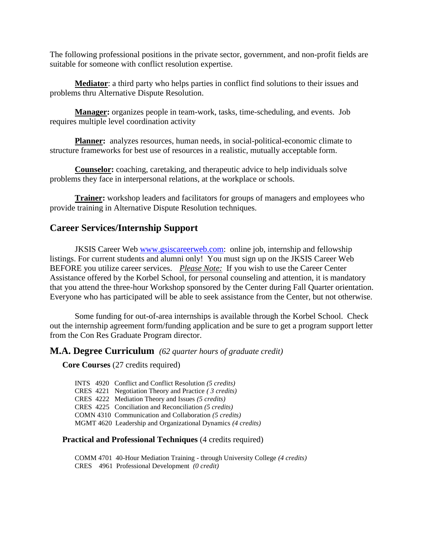The following professional positions in the private sector, government, and non-profit fields are suitable for someone with conflict resolution expertise.

**Mediator**: a third party who helps parties in conflict find solutions to their issues and problems thru Alternative Dispute Resolution.

**Manager:** organizes people in team-work, tasks, time-scheduling, and events. Job requires multiple level coordination activity

**Planner:** analyzes resources, human needs, in social-political-economic climate to structure frameworks for best use of resources in a realistic, mutually acceptable form.

**Counselor:** coaching, caretaking, and therapeutic advice to help individuals solve problems they face in interpersonal relations, at the workplace or schools.

**Trainer:** workshop leaders and facilitators for groups of managers and employees who provide training in Alternative Dispute Resolution techniques.

## **Career Services/Internship Support**

JKSIS Career Web [www.gsiscareerweb.com:](http://www.gsiscareerweb.com/) online job, internship and fellowship listings. For current students and alumni only! You must sign up on the JKSIS Career Web BEFORE you utilize career services.*Please Note:* If you wish to use the Career Center Assistance offered by the Korbel School, for personal counseling and attention, it is mandatory that you attend the three-hour Workshop sponsored by the Center during Fall Quarter orientation. Everyone who has participated will be able to seek assistance from the Center, but not otherwise.

Some funding for out-of-area internships is available through the Korbel School. Check out the internship agreement form/funding application and be sure to get a program support letter from the Con Res Graduate Program director.

## **M.A. Degree Curriculum** *(62 quarter hours of graduate credit)*

**Core Courses** (27 credits required)

INTS 4920 Conflict and Conflict Resolution *(5 credits)* CRES 4221 Negotiation Theory and Practice *( 3 credits)* CRES 4222 Mediation Theory and Issues *(5 credits)* CRES 4225 Conciliation and Reconciliation *(5 credits)* COMN 4310 Communication and Collaboration *(5 credits)* MGMT 4620 Leadership and Organizational Dynamics *(4 credits)*

#### **Practical and Professional Techniques** (4 credits required)

COMM 4701 40-Hour Mediation Training - through University College *(4 credits)* CRES 4961 Professional Development *(0 credit)*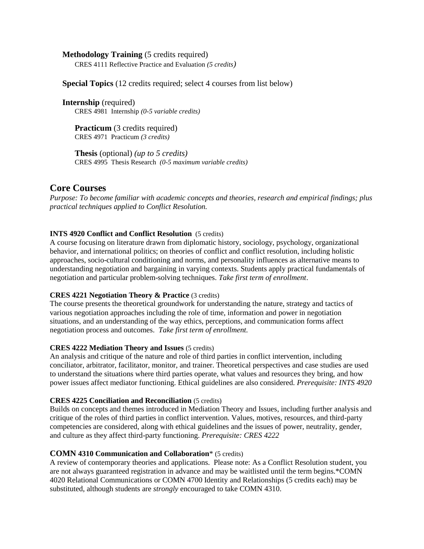#### **Methodology Training** (5 credits required)

CRES 4111 Reflective Practice and Evaluation *(5 credits)*

#### **Special Topics** (12 credits required; select 4 courses from list below)

**Internship** (required) CRES 4981 Internship *(0-5 variable credits)*

**Practicum** (3 credits required) CRES 4971 Practicum *(3 credits)*

**Thesis** (optional) *(up to 5 credits)* CRES 4995 Thesis Research *(0-5 maximum variable credits)*

#### **Core Courses**

*Purpose: To become familiar with academic concepts and theories, research and empirical findings; plus practical techniques applied to Conflict Resolution.* 

#### **INTS 4920 Conflict and Conflict Resolution** (5 credits)

A course focusing on literature drawn from diplomatic history, sociology, psychology, organizational behavior, and international politics; on theories of conflict and conflict resolution, including holistic approaches, socio-cultural conditioning and norms, and personality influences as alternative means to understanding negotiation and bargaining in varying contexts. Students apply practical fundamentals of negotiation and particular problem-solving techniques. *Take first term of enrollment*.

#### **CRES 4221 Negotiation Theory & Practice** (3 credits)

The course presents the theoretical groundwork for understanding the nature, strategy and tactics of various negotiation approaches including the role of time, information and power in negotiation situations, and an understanding of the way ethics, perceptions, and communication forms affect negotiation process and outcomes. *Take first term of enrollment.* 

#### **CRES 4222 Mediation Theory and Issues** (5 credits)

An analysis and critique of the nature and role of third parties in conflict intervention, including conciliator, arbitrator, facilitator, monitor, and trainer. Theoretical perspectives and case studies are used to understand the situations where third parties operate, what values and resources they bring, and how power issues affect mediator functioning. Ethical guidelines are also considered. *Prerequisite: INTS 4920*

#### **CRES 4225 Conciliation and Reconciliation** (5 credits)

Builds on concepts and themes introduced in Mediation Theory and Issues, including further analysis and critique of the roles of third parties in conflict intervention. Values, motives, resources, and third-party competencies are considered, along with ethical guidelines and the issues of power, neutrality, gender, and culture as they affect third-party functioning. *Prerequisite: CRES 4222*

#### **COMN 4310 Communication and Collaboration**\* (5 credits)

A review of contemporary theories and applications. Please note: As a Conflict Resolution student, you are not always guaranteed registration in advance and may be waitlisted until the term begins.\*COMN 4020 Relational Communications or COMN 4700 Identity and Relationships (5 credits each) may be substituted, although students are *strongly* encouraged to take COMN 4310.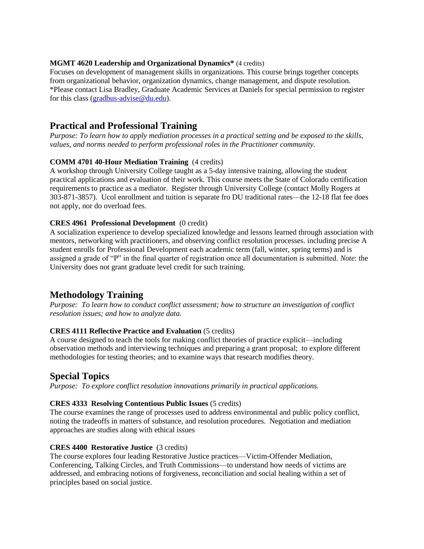#### **MGMT 4620 Leadership and Organizational Dynamics\*** (4 credits)

Focuses on development of management skills in organizations. This course brings together concepts from organizational behavior, organization dynamics, change management, and dispute resolution. \*Please contact Lisa Bradley, Graduate Academic Services at Daniels for special permission to register for this class [\(gradbus-advise@du.edu\)](mailto:gradbus-advise@du.edu).

## **Practical and Professional Training**

*Purpose: To learn how to apply mediation processes in a practical setting and be exposed to the skills, values, and norms needed to perform professional roles in the Practitioner community.*

#### **COMM 4701 40-Hour Mediation Training** (4 credits)

A workshop through University College taught as a 5-day intensive training, allowing the student practical applications and evaluation of their work. This course meets the State of Colorado certification requirements to practice as a mediator. Register through University College (contact Molly Rogers at 303-871-3857). Ucol enrollment and tuition is separate fro DU traditional rates—the 12-18 flat fee does not apply, nor do overload fees.

#### **CRES 4961 Professional Development** (0 credit)

A socialization experience to develop specialized knowledge and lessons learned through association with mentors, networking with practitioners, and observing conflict resolution processes. including precise A student enrolls for Professional Development each academic term (fall, winter, spring terms) and is assigned a grade of "P" in the final quarter of registration once all documentation is submitted. *Note*: the University does not grant graduate level credit for such training.

## **Methodology Training**

*Purpose: To learn how to conduct conflict assessment; how to structure an investigation of conflict resolution issues; and how to analyze data.* 

#### **CRES 4111 Reflective Practice and Evaluation** (5 credits)

A course designed to teach the tools for making conflict theories of practice explicit—including observation methods and interviewing techniques and preparing a grant proposal; to explore different methodologies for testing theories; and to examine ways that research modifies theory.

## **Special Topics**

*Purpose: To explore conflict resolution innovations primarily in practical applications.*

#### **CRES 4333 Resolving Contentious Public Issues** (5 credits)

The course examines the range of processes used to address environmental and public policy conflict, noting the tradeoffs in matters of substance, and resolution procedures. Negotiation and mediation approaches are studies along with ethical issues

#### **CRES 4400 Restorative Justice** (3 credits)

The course explores four leading Restorative Justice practices—Victim-Offender Mediation, Conferencing, Talking Circles, and Truth Commissions—to understand how needs of victims are addressed, and embracing notions of forgiveness, reconciliation and social healing within a set of principles based on social justice.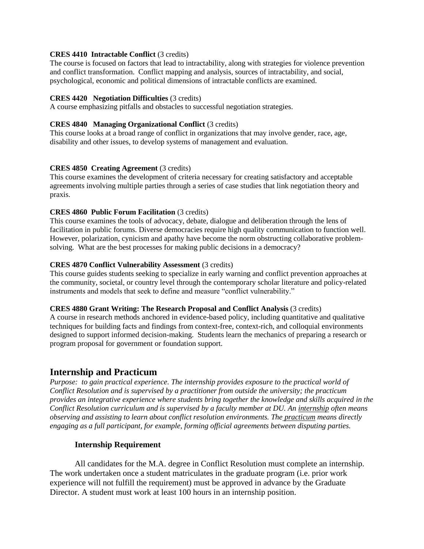#### **CRES 4410 Intractable Conflict** (3 credits)

The course is focused on factors that lead to intractability, along with strategies for violence prevention and conflict transformation. Conflict mapping and analysis, sources of intractability, and social, psychological, economic and political dimensions of intractable conflicts are examined.

#### **CRES 4420 Negotiation Difficulties** (3 credits)

A course emphasizing pitfalls and obstacles to successful negotiation strategies.

#### **CRES 4840 Managing Organizational Conflict** (3 credits)

This course looks at a broad range of conflict in organizations that may involve gender, race, age, disability and other issues, to develop systems of management and evaluation.

#### **CRES 4850 Creating Agreement** (3 credits)

This course examines the development of criteria necessary for creating satisfactory and acceptable agreements involving multiple parties through a series of case studies that link negotiation theory and praxis.

#### **CRES 4860 Public Forum Facilitation** (3 credits)

This course examines the tools of advocacy, debate, dialogue and deliberation through the lens of facilitation in public forums. Diverse democracies require high quality communication to function well. However, polarization, cynicism and apathy have become the norm obstructing collaborative problemsolving. What are the best processes for making public decisions in a democracy?

#### **CRES 4870 Conflict Vulnerability Assessment** (3 credits)

This course guides students seeking to specialize in early warning and conflict prevention approaches at the community, societal, or country level through the contemporary scholar literature and policy-related instruments and models that seek to define and measure "conflict vulnerability."

#### **CRES 4880 Grant Writing: The Research Proposal and Conflict Analysis** (3 credits)

A course in research methods anchored in evidence-based policy, including quantitative and qualitative techniques for building facts and findings from context-free, context-rich, and colloquial environments designed to support informed decision-making. Students learn the mechanics of preparing a research or program proposal for government or foundation support.

## **Internship and Practicum**

*Purpose: to gain practical experience. The internship provides exposure to the practical world of Conflict Resolution and is supervised by a practitioner from outside the university; the practicum provides an integrative experience where students bring together the knowledge and skills acquired in the Conflict Resolution curriculum and is supervised by a faculty member at DU. An internship often means observing and assisting to learn about conflict resolution environments. The practicum means directly engaging as a full participant, for example, forming official agreements between disputing parties.*

#### **Internship Requirement**

All candidates for the M.A. degree in Conflict Resolution must complete an internship. The work undertaken once a student matriculates in the graduate program (i.e. prior work experience will not fulfill the requirement) must be approved in advance by the Graduate Director. A student must work at least 100 hours in an internship position.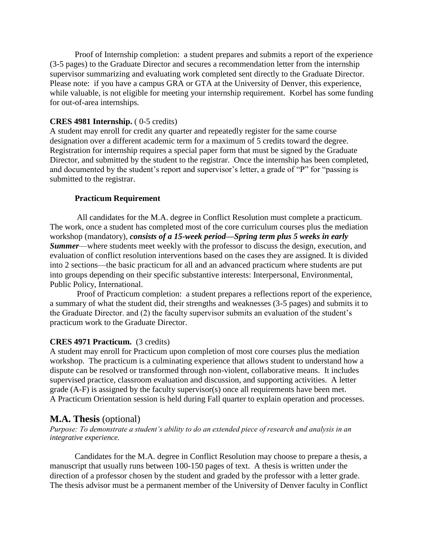Proof of Internship completion: a student prepares and submits a report of the experience (3-5 pages) to the Graduate Director and secures a recommendation letter from the internship supervisor summarizing and evaluating work completed sent directly to the Graduate Director. Please note: if you have a campus GRA or GTA at the University of Denver, this experience, while valuable, is not eligible for meeting your internship requirement. Korbel has some funding for out-of-area internships.

#### **CRES 4981 Internship.** ( 0-5 credits)

A student may enroll for credit any quarter and repeatedly register for the same course designation over a different academic term for a maximum of 5 credits toward the degree. Registration for internship requires a special paper form that must be signed by the Graduate Director, and submitted by the student to the registrar. Once the internship has been completed, and documented by the student's report and supervisor's letter, a grade of "P" for "passing is submitted to the registrar.

#### **Practicum Requirement**

All candidates for the M.A. degree in Conflict Resolution must complete a practicum. The work, once a student has completed most of the core curriculum courses plus the mediation workshop (mandatory), *consists of a 15-week period—Spring term plus 5 weeks in early Summer*—where students meet weekly with the professor to discuss the design, execution, and evaluation of conflict resolution interventions based on the cases they are assigned. It is divided into 2 sections—the basic practicum for all and an advanced practicum where students are put into groups depending on their specific substantive interests: Interpersonal, Environmental, Public Policy, International.

Proof of Practicum completion: a student prepares a reflections report of the experience, a summary of what the student did, their strengths and weaknesses (3-5 pages) and submits it to the Graduate Director. and (2) the faculty supervisor submits an evaluation of the student's practicum work to the Graduate Director.

## **CRES 4971 Practicum.** (3 credits)

A student may enroll for Practicum upon completion of most core courses plus the mediation workshop. The practicum is a culminating experience that allows student to understand how a dispute can be resolved or transformed through non-violent, collaborative means. It includes supervised practice, classroom evaluation and discussion, and supporting activities. A letter grade (A-F) is assigned by the faculty supervisor(s) once all requirements have been met. A Practicum Orientation session is held during Fall quarter to explain operation and processes.

## **M.A. Thesis** (optional)

*Purpose: To demonstrate a student's ability to do an extended piece of research and analysis in an integrative experience.*

Candidates for the M.A. degree in Conflict Resolution may choose to prepare a thesis, a manuscript that usually runs between 100-150 pages of text. A thesis is written under the direction of a professor chosen by the student and graded by the professor with a letter grade. The thesis advisor must be a permanent member of the University of Denver faculty in Conflict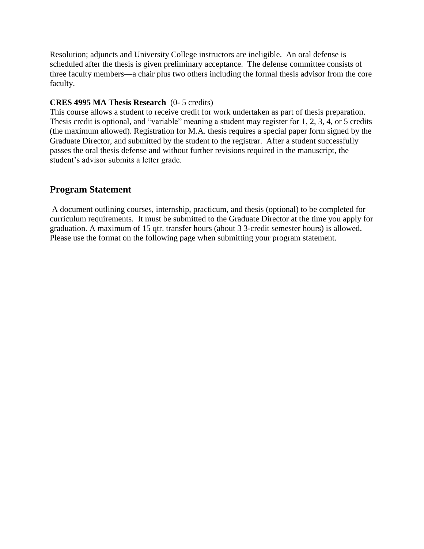Resolution; adjuncts and University College instructors are ineligible. An oral defense is scheduled after the thesis is given preliminary acceptance. The defense committee consists of three faculty members—a chair plus two others including the formal thesis advisor from the core faculty.

#### **CRES 4995 MA Thesis Research** (0- 5 credits)

This course allows a student to receive credit for work undertaken as part of thesis preparation. Thesis credit is optional, and "variable" meaning a student may register for 1, 2, 3, 4, or 5 credits (the maximum allowed). Registration for M.A. thesis requires a special paper form signed by the Graduate Director, and submitted by the student to the registrar. After a student successfully passes the oral thesis defense and without further revisions required in the manuscript, the student's advisor submits a letter grade.

## **Program Statement**

A document outlining courses, internship, practicum, and thesis (optional) to be completed for curriculum requirements. It must be submitted to the Graduate Director at the time you apply for graduation. A maximum of 15 qtr. transfer hours (about 3 3-credit semester hours) is allowed. Please use the format on the following page when submitting your program statement.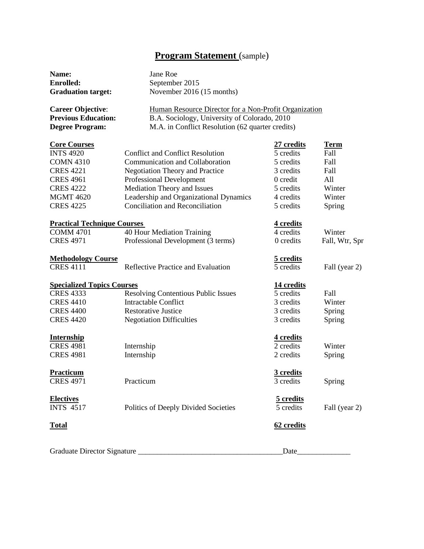## **Program Statement** (sample)

| Name:                              | Jane Roe                                                                                              |                  |                |
|------------------------------------|-------------------------------------------------------------------------------------------------------|------------------|----------------|
| <b>Enrolled:</b>                   | September 2015                                                                                        |                  |                |
| <b>Graduation target:</b>          | November 2016 (15 months)                                                                             |                  |                |
| <b>Career Objective:</b>           | Human Resource Director for a Non-Profit Organization<br>B.A. Sociology, University of Colorado, 2010 |                  |                |
| <b>Previous Education:</b>         |                                                                                                       |                  |                |
| <b>Degree Program:</b>             | M.A. in Conflict Resolution (62 quarter credits)                                                      |                  |                |
| <b>Core Courses</b>                |                                                                                                       | 27 credits       | <b>Term</b>    |
| <b>INTS 4920</b>                   | <b>Conflict and Conflict Resolution</b>                                                               | 5 credits        | Fall           |
| <b>COMN 4310</b>                   | Communication and Collaboration                                                                       | 5 credits        | Fall           |
| <b>CRES 4221</b>                   | <b>Negotiation Theory and Practice</b>                                                                | 3 credits        | Fall           |
| <b>CRES 4961</b>                   | <b>Professional Development</b>                                                                       | 0 credit         | All            |
| <b>CRES 4222</b>                   | Mediation Theory and Issues                                                                           | 5 credits        | Winter         |
| <b>MGMT 4620</b>                   | Leadership and Organizational Dynamics                                                                | 4 credits        | Winter         |
| <b>CRES 4225</b>                   | <b>Conciliation and Reconciliation</b>                                                                | 5 credits        | Spring         |
| <b>Practical Technique Courses</b> |                                                                                                       | <u>4 credits</u> |                |
| <b>COMM 4701</b>                   | 40 Hour Mediation Training                                                                            | 4 credits        | Winter         |
| <b>CRES 4971</b>                   | Professional Development (3 terms)                                                                    | 0 credits        | Fall, Wtr, Spr |
| <b>Methodology Course</b>          |                                                                                                       | 5 credits        |                |
| <b>CRES 4111</b>                   | Reflective Practice and Evaluation                                                                    | 5 credits        | Fall (year 2)  |
| <b>Specialized Topics Courses</b>  |                                                                                                       | 14 credits       |                |
| <b>CRES 4333</b>                   | <b>Resolving Contentious Public Issues</b>                                                            | 5 credits        | Fall           |
| <b>CRES 4410</b>                   | <b>Intractable Conflict</b>                                                                           | 3 credits        | Winter         |
| <b>CRES 4400</b>                   | <b>Restorative Justice</b>                                                                            | 3 credits        | Spring         |
| <b>CRES 4420</b>                   | <b>Negotiation Difficulties</b>                                                                       | 3 credits        | Spring         |
| <b>Internship</b>                  |                                                                                                       | 4 credits        |                |
| <b>CRES 4981</b>                   | Internship                                                                                            | 2 credits        | Winter         |
| <b>CRES 4981</b>                   | Internship                                                                                            | 2 credits        | Spring         |
| Practicum                          |                                                                                                       | 3 credits        |                |
| <b>CRES 4971</b>                   | Practicum                                                                                             | 3 credits        | Spring         |
| <b>Electives</b>                   |                                                                                                       | 5 credits        |                |
| <b>INTS 4517</b>                   | Politics of Deeply Divided Societies                                                                  | 5 credits        | Fall (year 2)  |
| <b>Total</b>                       |                                                                                                       | 62 credits       |                |
| Graduate Director Signature        |                                                                                                       | Date             |                |